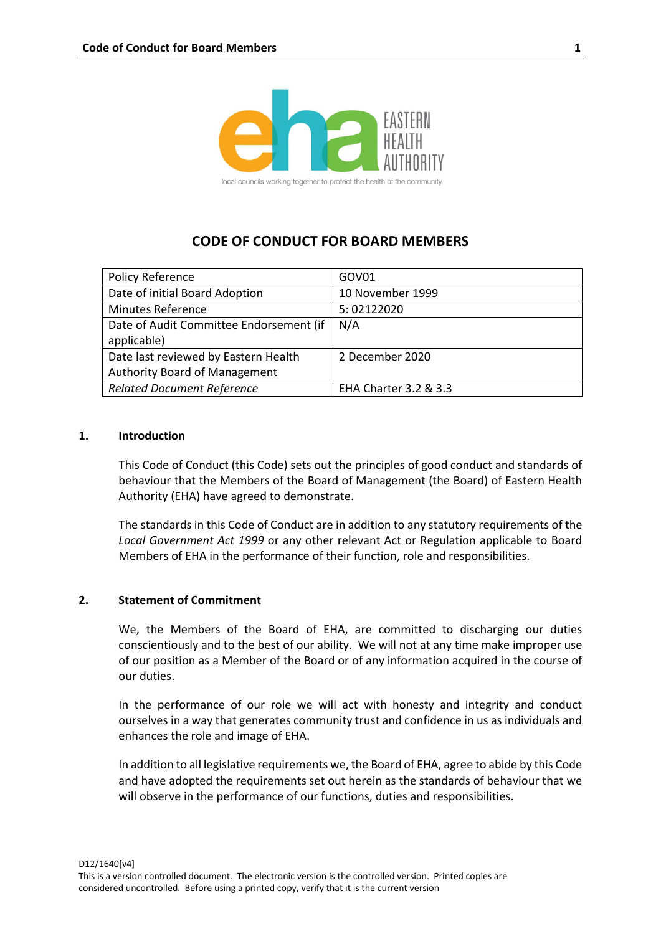

# **CODE OF CONDUCT FOR BOARD MEMBERS**

| <b>Policy Reference</b>                 | GOV01                 |
|-----------------------------------------|-----------------------|
| Date of initial Board Adoption          | 10 November 1999      |
| <b>Minutes Reference</b>                | 5:02122020            |
| Date of Audit Committee Endorsement (if | N/A                   |
| applicable)                             |                       |
| Date last reviewed by Eastern Health    | 2 December 2020       |
| <b>Authority Board of Management</b>    |                       |
| <b>Related Document Reference</b>       | EHA Charter 3.2 & 3.3 |

#### **1. Introduction**

This Code of Conduct (this Code) sets out the principles of good conduct and standards of behaviour that the Members of the Board of Management (the Board) of Eastern Health Authority (EHA) have agreed to demonstrate.

The standards in this Code of Conduct are in addition to any statutory requirements of the *Local Government Act 1999* or any other relevant Act or Regulation applicable to Board Members of EHA in the performance of their function, role and responsibilities.

### **2. Statement of Commitment**

We, the Members of the Board of EHA, are committed to discharging our duties conscientiously and to the best of our ability. We will not at any time make improper use of our position as a Member of the Board or of any information acquired in the course of our duties.

In the performance of our role we will act with honesty and integrity and conduct ourselves in a way that generates community trust and confidence in us as individuals and enhances the role and image of EHA.

In addition to all legislative requirements we, the Board of EHA, agree to abide by this Code and have adopted the requirements set out herein as the standards of behaviour that we will observe in the performance of our functions, duties and responsibilities.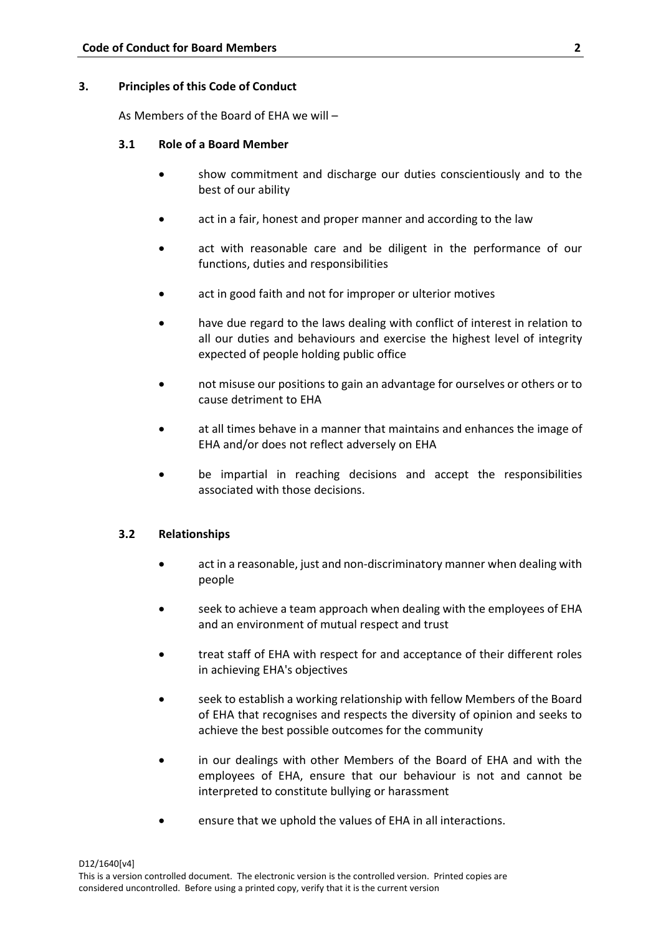# **3. Principles of this Code of Conduct**

As Members of the Board of EHA we will –

# **3.1 Role of a Board Member**

- show commitment and discharge our duties conscientiously and to the best of our ability
- act in a fair, honest and proper manner and according to the law
- act with reasonable care and be diligent in the performance of our functions, duties and responsibilities
- act in good faith and not for improper or ulterior motives
- have due regard to the laws dealing with conflict of interest in relation to all our duties and behaviours and exercise the highest level of integrity expected of people holding public office
- not misuse our positions to gain an advantage for ourselves or others or to cause detriment to EHA
- at all times behave in a manner that maintains and enhances the image of EHA and/or does not reflect adversely on EHA
- be impartial in reaching decisions and accept the responsibilities associated with those decisions.

# **3.2 Relationships**

- act in a reasonable, just and non-discriminatory manner when dealing with people
- seek to achieve a team approach when dealing with the employees of EHA and an environment of mutual respect and trust
- treat staff of EHA with respect for and acceptance of their different roles in achieving EHA's objectives
- seek to establish a working relationship with fellow Members of the Board of EHA that recognises and respects the diversity of opinion and seeks to achieve the best possible outcomes for the community
- in our dealings with other Members of the Board of EHA and with the employees of EHA, ensure that our behaviour is not and cannot be interpreted to constitute bullying or harassment
- ensure that we uphold the values of EHA in all interactions.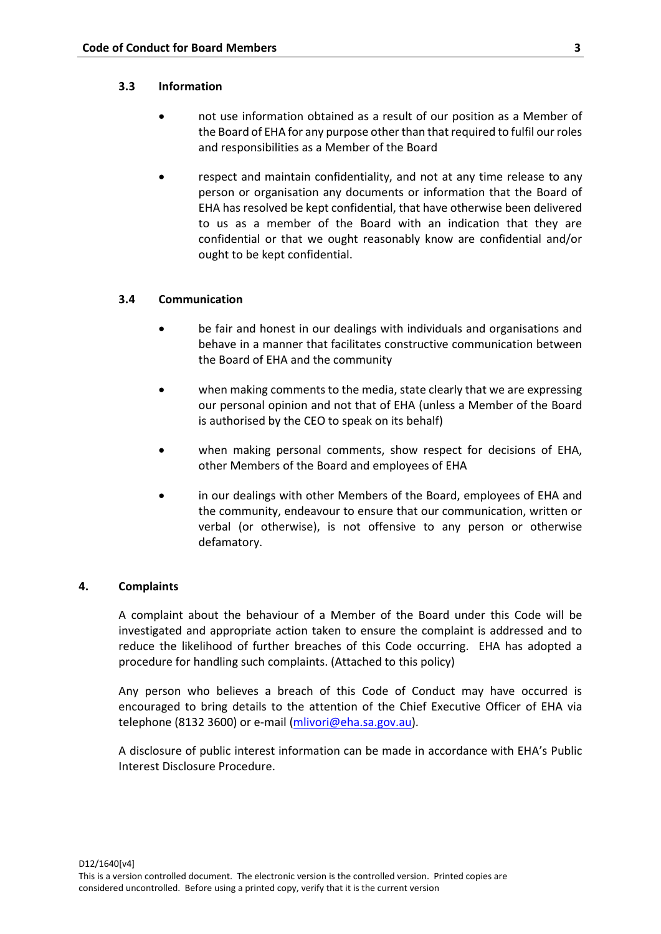#### **3.3 Information**

- not use information obtained as a result of our position as a Member of the Board of EHA for any purpose other than that required to fulfil our roles and responsibilities as a Member of the Board
- respect and maintain confidentiality, and not at any time release to any person or organisation any documents or information that the Board of EHA has resolved be kept confidential, that have otherwise been delivered to us as a member of the Board with an indication that they are confidential or that we ought reasonably know are confidential and/or ought to be kept confidential.

### **3.4 Communication**

- be fair and honest in our dealings with individuals and organisations and behave in a manner that facilitates constructive communication between the Board of EHA and the community
- when making comments to the media, state clearly that we are expressing our personal opinion and not that of EHA (unless a Member of the Board is authorised by the CEO to speak on its behalf)
- when making personal comments, show respect for decisions of EHA, other Members of the Board and employees of EHA
- in our dealings with other Members of the Board, employees of EHA and the community, endeavour to ensure that our communication, written or verbal (or otherwise), is not offensive to any person or otherwise defamatory.

### **4. Complaints**

A complaint about the behaviour of a Member of the Board under this Code will be investigated and appropriate action taken to ensure the complaint is addressed and to reduce the likelihood of further breaches of this Code occurring. EHA has adopted a procedure for handling such complaints. (Attached to this policy)

Any person who believes a breach of this Code of Conduct may have occurred is encouraged to bring details to the attention of the Chief Executive Officer of EHA via telephone (8132 3600) or e-mail [\(mlivori@eha.sa.gov.au\)](mailto:mlivori@eha.sa.gov.au).

A disclosure of public interest information can be made in accordance with EHA's Public Interest Disclosure Procedure.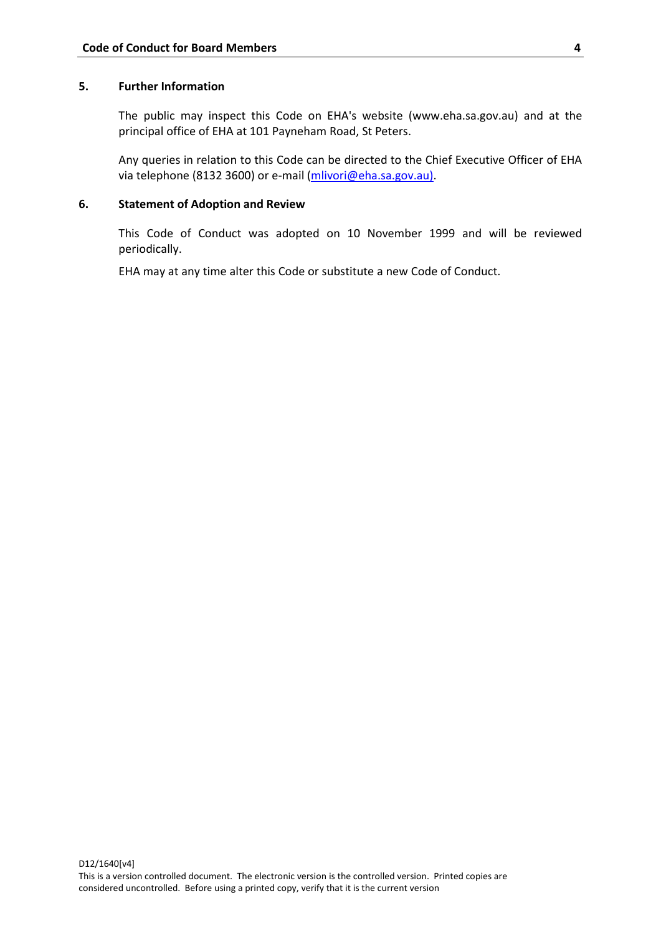# **5. Further Information**

The public may inspect this Code on EHA's website (www.eha.sa.gov.au) and at the principal office of EHA at 101 Payneham Road, St Peters.

Any queries in relation to this Code can be directed to the Chief Executive Officer of EHA via telephone (8132 3600) or e-mail [\(mlivori@eha.sa.gov.au\)](mailto:mlivori@eha.sa.gov.au).

### **6. Statement of Adoption and Review**

This Code of Conduct was adopted on 10 November 1999 and will be reviewed periodically.

EHA may at any time alter this Code or substitute a new Code of Conduct.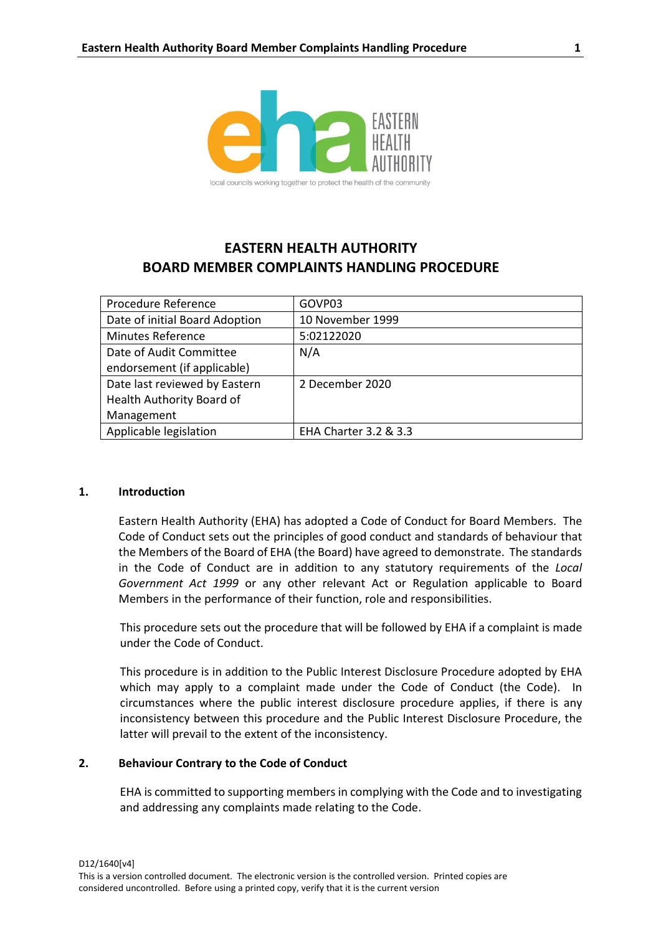

# **EASTERN HEALTH AUTHORITY BOARD MEMBER COMPLAINTS HANDLING PROCEDURE**

| Procedure Reference            | GOVP03                |
|--------------------------------|-----------------------|
| Date of initial Board Adoption | 10 November 1999      |
| <b>Minutes Reference</b>       | 5:02122020            |
| Date of Audit Committee        | N/A                   |
| endorsement (if applicable)    |                       |
| Date last reviewed by Eastern  | 2 December 2020       |
| Health Authority Board of      |                       |
| Management                     |                       |
| Applicable legislation         | EHA Charter 3.2 & 3.3 |

#### **1. Introduction**

Eastern Health Authority (EHA) has adopted a Code of Conduct for Board Members. The Code of Conduct sets out the principles of good conduct and standards of behaviour that the Members of the Board of EHA (the Board) have agreed to demonstrate. The standards in the Code of Conduct are in addition to any statutory requirements of the *Local Government Act 1999* or any other relevant Act or Regulation applicable to Board Members in the performance of their function, role and responsibilities.

This procedure sets out the procedure that will be followed by EHA if a complaint is made under the Code of Conduct.

This procedure is in addition to the Public Interest Disclosure Procedure adopted by EHA which may apply to a complaint made under the Code of Conduct (the Code). In circumstances where the public interest disclosure procedure applies, if there is any inconsistency between this procedure and the Public Interest Disclosure Procedure, the latter will prevail to the extent of the inconsistency.

#### **2. Behaviour Contrary to the Code of Conduct**

EHA is committed to supporting members in complying with the Code and to investigating and addressing any complaints made relating to the Code.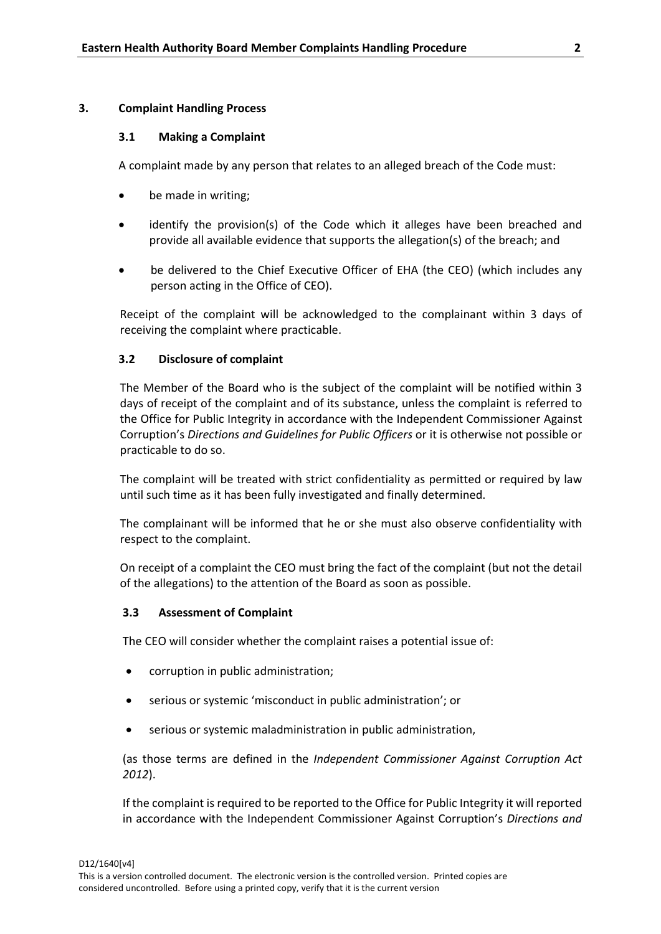### **3. Complaint Handling Process**

### **3.1 Making a Complaint**

A complaint made by any person that relates to an alleged breach of the Code must:

- be made in writing;
- identify the provision(s) of the Code which it alleges have been breached and provide all available evidence that supports the allegation(s) of the breach; and
- be delivered to the Chief Executive Officer of EHA (the CEO) (which includes any person acting in the Office of CEO).

Receipt of the complaint will be acknowledged to the complainant within 3 days of receiving the complaint where practicable.

# **3.2 Disclosure of complaint**

The Member of the Board who is the subject of the complaint will be notified within 3 days of receipt of the complaint and of its substance, unless the complaint is referred to the Office for Public Integrity in accordance with the Independent Commissioner Against Corruption's *Directions and Guidelines for Public Officers* or it is otherwise not possible or practicable to do so.

The complaint will be treated with strict confidentiality as permitted or required by law until such time as it has been fully investigated and finally determined.

The complainant will be informed that he or she must also observe confidentiality with respect to the complaint.

On receipt of a complaint the CEO must bring the fact of the complaint (but not the detail of the allegations) to the attention of the Board as soon as possible.

# **3.3 Assessment of Complaint**

The CEO will consider whether the complaint raises a potential issue of:

- corruption in public administration;
- serious or systemic 'misconduct in public administration'; or
- serious or systemic maladministration in public administration,

(as those terms are defined in the *Independent Commissioner Against Corruption Act 2012*).

If the complaint is required to be reported to the Office for Public Integrity it will reported in accordance with the Independent Commissioner Against Corruption's *Directions and*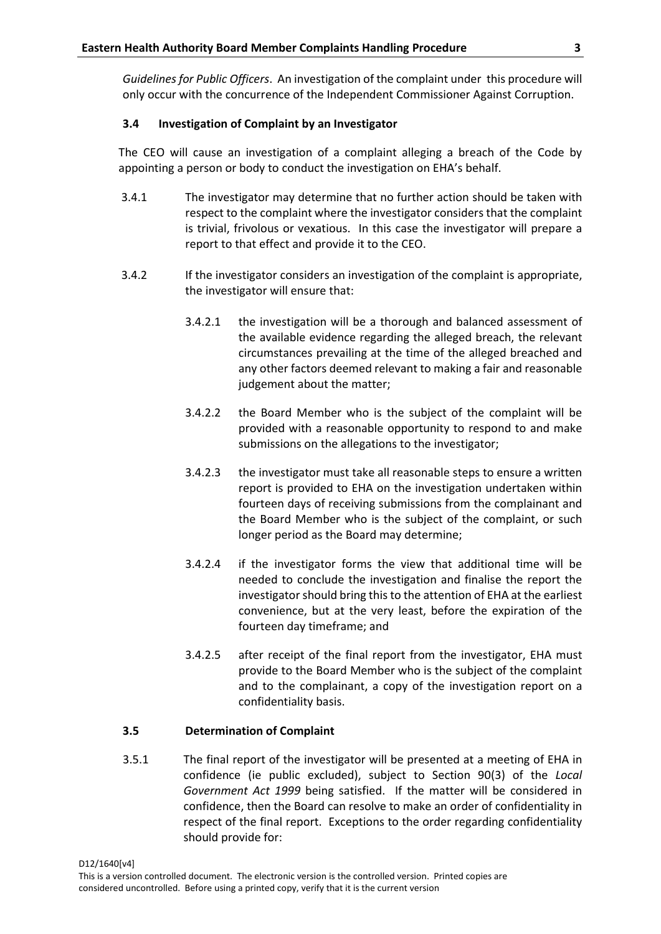*Guidelines for Public Officers*. An investigation of the complaint under this procedure will only occur with the concurrence of the Independent Commissioner Against Corruption.

# **3.4 Investigation of Complaint by an Investigator**

The CEO will cause an investigation of a complaint alleging a breach of the Code by appointing a person or body to conduct the investigation on EHA's behalf.

- 3.4.1 The investigator may determine that no further action should be taken with respect to the complaint where the investigator considers that the complaint is trivial, frivolous or vexatious. In this case the investigator will prepare a report to that effect and provide it to the CEO.
- 3.4.2 If the investigator considers an investigation of the complaint is appropriate, the investigator will ensure that:
	- 3.4.2.1 the investigation will be a thorough and balanced assessment of the available evidence regarding the alleged breach, the relevant circumstances prevailing at the time of the alleged breached and any other factors deemed relevant to making a fair and reasonable judgement about the matter;
	- 3.4.2.2 the Board Member who is the subject of the complaint will be provided with a reasonable opportunity to respond to and make submissions on the allegations to the investigator;
	- 3.4.2.3 the investigator must take all reasonable steps to ensure a written report is provided to EHA on the investigation undertaken within fourteen days of receiving submissions from the complainant and the Board Member who is the subject of the complaint, or such longer period as the Board may determine;
	- 3.4.2.4 if the investigator forms the view that additional time will be needed to conclude the investigation and finalise the report the investigator should bring this to the attention of EHA at the earliest convenience, but at the very least, before the expiration of the fourteen day timeframe; and
	- 3.4.2.5 after receipt of the final report from the investigator, EHA must provide to the Board Member who is the subject of the complaint and to the complainant, a copy of the investigation report on a confidentiality basis.

# **3.5 Determination of Complaint**

3.5.1 The final report of the investigator will be presented at a meeting of EHA in confidence (ie public excluded), subject to Section 90(3) of the *Local Government Act 1999* being satisfied. If the matter will be considered in confidence, then the Board can resolve to make an order of confidentiality in respect of the final report. Exceptions to the order regarding confidentiality should provide for:

D12/1640[v4]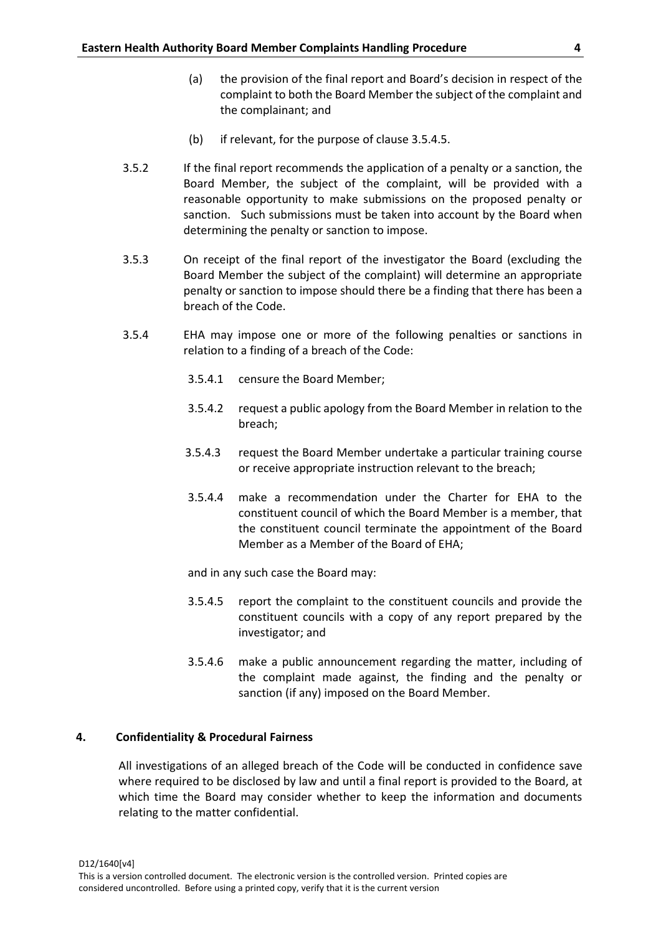- (a) the provision of the final report and Board's decision in respect of the complaint to both the Board Member the subject of the complaint and the complainant; and
- (b) if relevant, for the purpose of clause 3.5.4.5.
- 3.5.2 If the final report recommends the application of a penalty or a sanction, the Board Member, the subject of the complaint, will be provided with a reasonable opportunity to make submissions on the proposed penalty or sanction. Such submissions must be taken into account by the Board when determining the penalty or sanction to impose.
- 3.5.3 On receipt of the final report of the investigator the Board (excluding the Board Member the subject of the complaint) will determine an appropriate penalty or sanction to impose should there be a finding that there has been a breach of the Code.
- 3.5.4 EHA may impose one or more of the following penalties or sanctions in relation to a finding of a breach of the Code:
	- 3.5.4.1 censure the Board Member;
	- 3.5.4.2 request a public apology from the Board Member in relation to the breach;
	- 3.5.4.3 request the Board Member undertake a particular training course or receive appropriate instruction relevant to the breach;
	- 3.5.4.4 make a recommendation under the Charter for EHA to the constituent council of which the Board Member is a member, that the constituent council terminate the appointment of the Board Member as a Member of the Board of EHA;

and in any such case the Board may:

- 3.5.4.5 report the complaint to the constituent councils and provide the constituent councils with a copy of any report prepared by the investigator; and
- 3.5.4.6 make a public announcement regarding the matter, including of the complaint made against, the finding and the penalty or sanction (if any) imposed on the Board Member.

# **4. Confidentiality & Procedural Fairness**

All investigations of an alleged breach of the Code will be conducted in confidence save where required to be disclosed by law and until a final report is provided to the Board, at which time the Board may consider whether to keep the information and documents relating to the matter confidential.